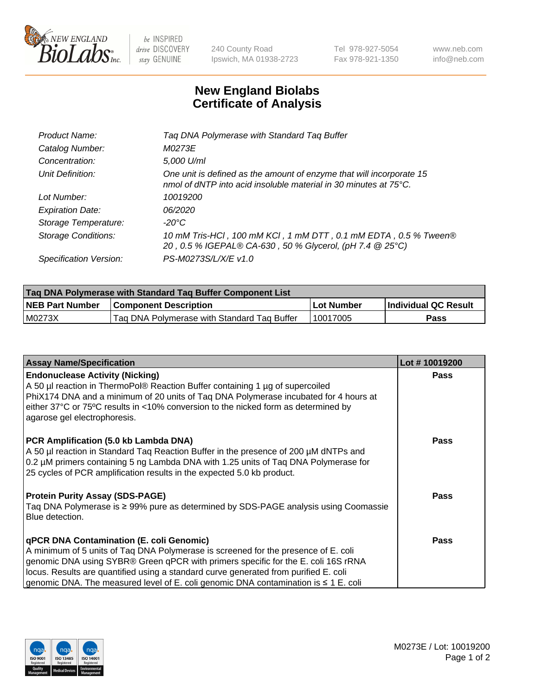

 $be$  INSPIRED drive DISCOVERY stay GENUINE

240 County Road Ipswich, MA 01938-2723 Tel 978-927-5054 Fax 978-921-1350 www.neb.com info@neb.com

## **New England Biolabs Certificate of Analysis**

| Product Name:              | Tag DNA Polymerase with Standard Tag Buffer                                                                                                        |
|----------------------------|----------------------------------------------------------------------------------------------------------------------------------------------------|
| Catalog Number:            | M0273E                                                                                                                                             |
| Concentration:             | 5,000 U/ml                                                                                                                                         |
| Unit Definition:           | One unit is defined as the amount of enzyme that will incorporate 15<br>nmol of dNTP into acid insoluble material in 30 minutes at $75^{\circ}$ C. |
| Lot Number:                | 10019200                                                                                                                                           |
| <b>Expiration Date:</b>    | 06/2020                                                                                                                                            |
| Storage Temperature:       | $-20^{\circ}$ C                                                                                                                                    |
| <b>Storage Conditions:</b> | 10 mM Tris-HCl, 100 mM KCl, 1 mM DTT, 0.1 mM EDTA, 0.5 % Tween®<br>20, 0.5 % IGEPAL® CA-630, 50 % Glycerol, (pH 7.4 @ 25°C)                        |
| Specification Version:     | PS-M0273S/L/X/E v1.0                                                                                                                               |

| Tag DNA Polymerase with Standard Tag Buffer Component List |                                             |            |                      |  |
|------------------------------------------------------------|---------------------------------------------|------------|----------------------|--|
| <b>NEB Part Number</b>                                     | <b>Component Description</b>                | Lot Number | Individual QC Result |  |
| M0273X                                                     | Tag DNA Polymerase with Standard Tag Buffer | 10017005   | Pass                 |  |

| <b>Assay Name/Specification</b>                                                                                                                                                                                                                                                                                                                                                                         | Lot #10019200 |
|---------------------------------------------------------------------------------------------------------------------------------------------------------------------------------------------------------------------------------------------------------------------------------------------------------------------------------------------------------------------------------------------------------|---------------|
| <b>Endonuclease Activity (Nicking)</b><br>A 50 µl reaction in ThermoPol® Reaction Buffer containing 1 µg of supercoiled<br>PhiX174 DNA and a minimum of 20 units of Taq DNA Polymerase incubated for 4 hours at<br>either 37°C or 75°C results in <10% conversion to the nicked form as determined by<br>agarose gel electrophoresis.                                                                   | <b>Pass</b>   |
| PCR Amplification (5.0 kb Lambda DNA)<br>A 50 µl reaction in Standard Taq Reaction Buffer in the presence of 200 µM dNTPs and<br>0.2 µM primers containing 5 ng Lambda DNA with 1.25 units of Tag DNA Polymerase for<br>25 cycles of PCR amplification results in the expected 5.0 kb product.                                                                                                          | <b>Pass</b>   |
| <b>Protein Purity Assay (SDS-PAGE)</b><br>Taq DNA Polymerase is ≥ 99% pure as determined by SDS-PAGE analysis using Coomassie<br>Blue detection.                                                                                                                                                                                                                                                        | <b>Pass</b>   |
| qPCR DNA Contamination (E. coli Genomic)<br>A minimum of 5 units of Taq DNA Polymerase is screened for the presence of E. coli<br>genomic DNA using SYBR® Green qPCR with primers specific for the E. coli 16S rRNA<br>locus. Results are quantified using a standard curve generated from purified E. coli<br>genomic DNA. The measured level of E. coli genomic DNA contamination is $\leq 1$ E. coli | <b>Pass</b>   |